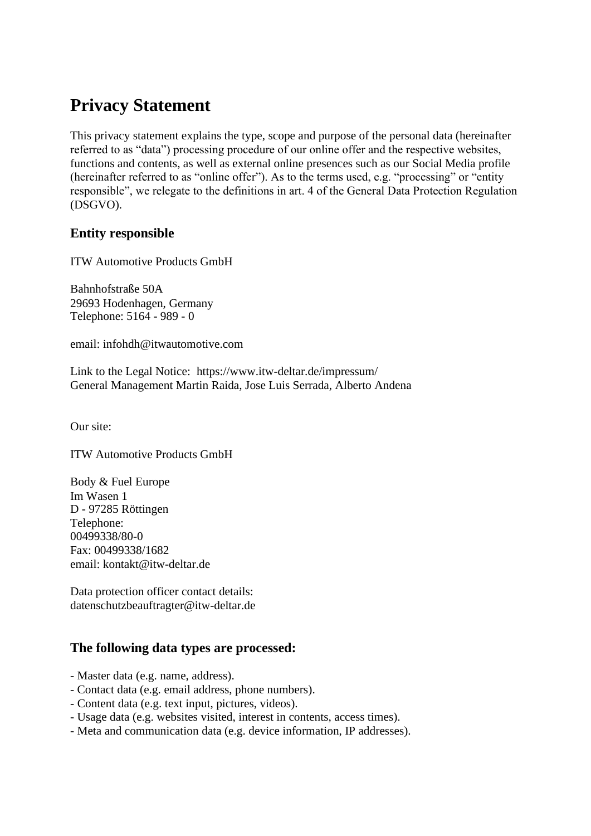# **Privacy Statement**

This privacy statement explains the type, scope and purpose of the personal data (hereinafter referred to as "data") processing procedure of our online offer and the respective websites, functions and contents, as well as external online presences such as our Social Media profile (hereinafter referred to as "online offer"). As to the terms used, e.g. "processing" or "entity responsible", we relegate to the definitions in art. 4 of the General Data Protection Regulation (DSGVO).

# **Entity responsible**

ITW Automotive Products GmbH

Bahnhofstraße 50A 29693 Hodenhagen, Germany Telephone: 5164 - 989 - 0

[email: infohdh@itwautomotive.com](mailto:infohdh@itwautomotive.com)

Link to the Legal Notice: https://www.itw-deltar.de/impressum/ General Management Martin Raida, Jose Luis Serrada, Alberto Andena

Our site:

ITW Automotive Products GmbH

Body & Fuel Europe Im Wasen 1 D - 97285 Röttingen Telephone: 00499338/80-0 Fax: 00499338/1682 [email: kontakt@itw-deltar.de](mailto:kontakt@itw-deltar.de)

Data protection officer contact details: [datenschutzbeauftragter@itw-deltar.de](mailto:datenschutzbeauftragter@itw-deltar.de)

# **The following data types are processed:**

- Master data (e.g. name, address).
- Contact data (e.g. email address, phone numbers).
- Content data (e.g. text input, pictures, videos).
- Usage data (e.g. websites visited, interest in contents, access times).
- Meta and communication data (e.g. device information, IP addresses).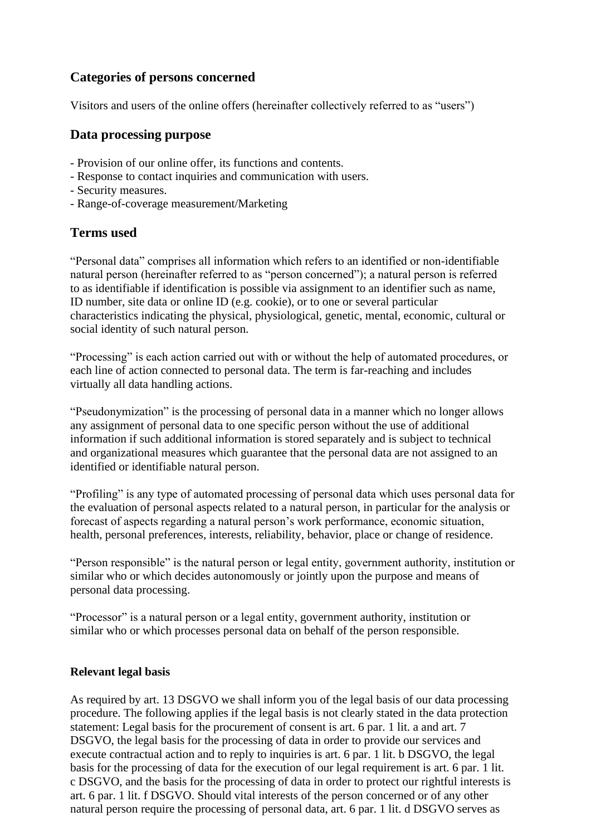# **Categories of persons concerned**

Visitors and users of the online offers (hereinafter collectively referred to as "users")

#### **Data processing purpose**

- Provision of our online offer, its functions and contents.
- Response to contact inquiries and communication with users.
- Security measures.
- Range-of-coverage measurement/Marketing

# **Terms used**

"Personal data" comprises all information which refers to an identified or non-identifiable natural person (hereinafter referred to as "person concerned"); a natural person is referred to as identifiable if identification is possible via assignment to an identifier such as name, ID number, site data or online ID (e.g. cookie), or to one or several particular characteristics indicating the physical, physiological, genetic, mental, economic, cultural or social identity of such natural person.

"Processing" is each action carried out with or without the help of automated procedures, or each line of action connected to personal data. The term is far-reaching and includes virtually all data handling actions.

"Pseudonymization" is the processing of personal data in a manner which no longer allows any assignment of personal data to one specific person without the use of additional information if such additional information is stored separately and is subject to technical and organizational measures which guarantee that the personal data are not assigned to an identified or identifiable natural person.

"Profiling" is any type of automated processing of personal data which uses personal data for the evaluation of personal aspects related to a natural person, in particular for the analysis or forecast of aspects regarding a natural person's work performance, economic situation, health, personal preferences, interests, reliability, behavior, place or change of residence.

"Person responsible" is the natural person or legal entity, government authority, institution or similar who or which decides autonomously or jointly upon the purpose and means of personal data processing.

"Processor" is a natural person or a legal entity, government authority, institution or similar who or which processes personal data on behalf of the person responsible.

#### **Relevant legal basis**

As required by art. 13 DSGVO we shall inform you of the legal basis of our data processing procedure. The following applies if the legal basis is not clearly stated in the data protection statement: Legal basis for the procurement of consent is art. 6 par. 1 lit. a and art. 7 DSGVO, the legal basis for the processing of data in order to provide our services and execute contractual action and to reply to inquiries is art. 6 par. 1 lit. b DSGVO, the legal basis for the processing of data for the execution of our legal requirement is art. 6 par. 1 lit. c DSGVO, and the basis for the processing of data in order to protect our rightful interests is art. 6 par. 1 lit. f DSGVO. Should vital interests of the person concerned or of any other natural person require the processing of personal data, art. 6 par. 1 lit. d DSGVO serves as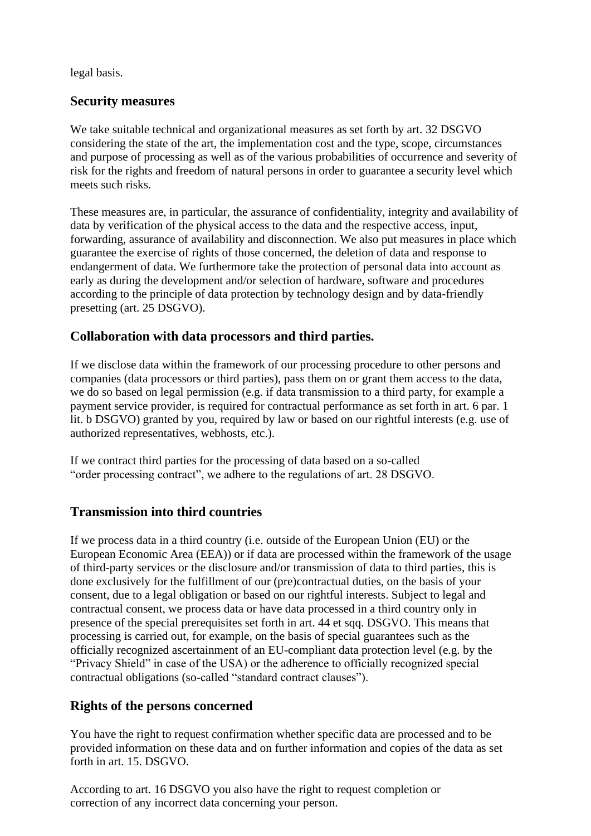legal basis.

## **Security measures**

We take suitable technical and organizational measures as set forth by art. 32 DSGVO considering the state of the art, the implementation cost and the type, scope, circumstances and purpose of processing as well as of the various probabilities of occurrence and severity of risk for the rights and freedom of natural persons in order to guarantee a security level which meets such risks.

These measures are, in particular, the assurance of confidentiality, integrity and availability of data by verification of the physical access to the data and the respective access, input, forwarding, assurance of availability and disconnection. We also put measures in place which guarantee the exercise of rights of those concerned, the deletion of data and response to endangerment of data. We furthermore take the protection of personal data into account as early as during the development and/or selection of hardware, software and procedures according to the principle of data protection by technology design and by data-friendly presetting (art. 25 DSGVO).

# **Collaboration with data processors and third parties.**

If we disclose data within the framework of our processing procedure to other persons and companies (data processors or third parties), pass them on or grant them access to the data, we do so based on legal permission (e.g. if data transmission to a third party, for example a payment service provider, is required for contractual performance as set forth in art. 6 par. 1 lit. b DSGVO) granted by you, required by law or based on our rightful interests (e.g. use of authorized representatives, webhosts, etc.).

If we contract third parties for the processing of data based on a so-called "order processing contract", we adhere to the regulations of art. 28 DSGVO.

# **Transmission into third countries**

If we process data in a third country (i.e. outside of the European Union (EU) or the European Economic Area (EEA)) or if data are processed within the framework of the usage of third-party services or the disclosure and/or transmission of data to third parties, this is done exclusively for the fulfillment of our (pre)contractual duties, on the basis of your consent, due to a legal obligation or based on our rightful interests. Subject to legal and contractual consent, we process data or have data processed in a third country only in presence of the special prerequisites set forth in art. 44 et sqq. DSGVO. This means that processing is carried out, for example, on the basis of special guarantees such as the officially recognized ascertainment of an EU-compliant data protection level (e.g. by the "Privacy Shield" in case of the USA) or the adherence to officially recognized special contractual obligations (so-called "standard contract clauses").

# **Rights of the persons concerned**

You have the right to request confirmation whether specific data are processed and to be provided information on these data and on further information and copies of the data as set forth in art. 15. DSGVO.

According to art. 16 DSGVO you also have the right to request completion or correction of any incorrect data concerning your person.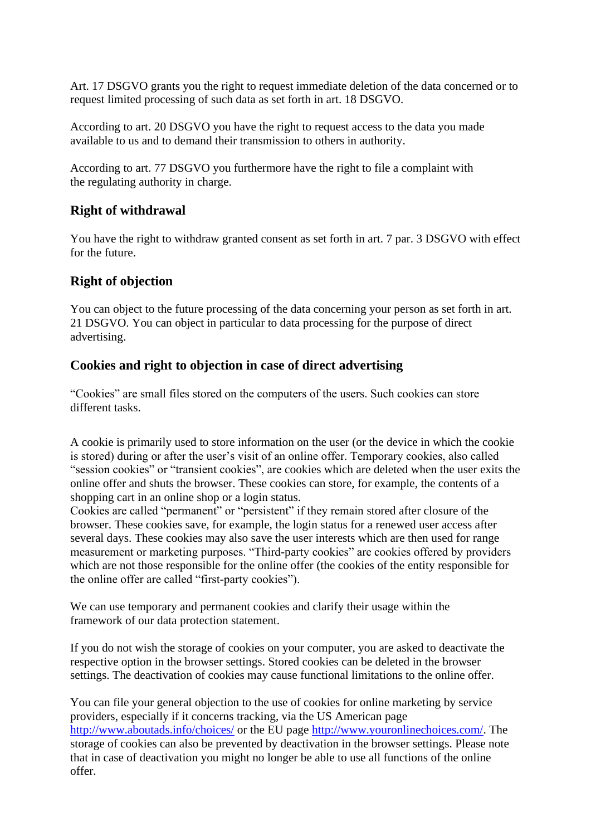Art. 17 DSGVO grants you the right to request immediate deletion of the data concerned or to request limited processing of such data as set forth in art. 18 DSGVO.

According to art. 20 DSGVO you have the right to request access to the data you made available to us and to demand their transmission to others in authority.

According to art. 77 DSGVO you furthermore have the right to file a complaint with the regulating authority in charge.

## **Right of withdrawal**

You have the right to withdraw granted consent as set forth in art. 7 par. 3 DSGVO with effect for the future.

#### **Right of objection**

You can object to the future processing of the data concerning your person as set forth in art. 21 DSGVO. You can object in particular to data processing for the purpose of direct advertising.

## **Cookies and right to objection in case of direct advertising**

"Cookies" are small files stored on the computers of the users. Such cookies can store different tasks.

A cookie is primarily used to store information on the user (or the device in which the cookie is stored) during or after the user's visit of an online offer. Temporary cookies, also called "session cookies" or "transient cookies", are cookies which are deleted when the user exits the online offer and shuts the browser. These cookies can store, for example, the contents of a shopping cart in an online shop or a login status.

Cookies are called "permanent" or "persistent" if they remain stored after closure of the browser. These cookies save, for example, the login status for a renewed user access after several days. These cookies may also save the user interests which are then used for range measurement or marketing purposes. "Third-party cookies" are cookies offered by providers which are not those responsible for the online offer (the cookies of the entity responsible for the online offer are called "first-party cookies").

We can use temporary and permanent cookies and clarify their usage within the framework of our data protection statement.

If you do not wish the storage of cookies on your computer, you are asked to deactivate the respective option in the browser settings. Stored cookies can be deleted in the browser settings. The deactivation of cookies may cause functional limitations to the online offer.

You can file your general objection to the use of cookies for online marketing by service providers, especially if it concerns tracking, via the US American page <http://www.aboutads.info/choices/> or the EU page [http://www.youronlinechoices.com/.](http://www.youronlinechoices.com/) The storage of cookies can also be prevented by deactivation in the browser settings. Please note that in case of deactivation you might no longer be able to use all functions of the online offer.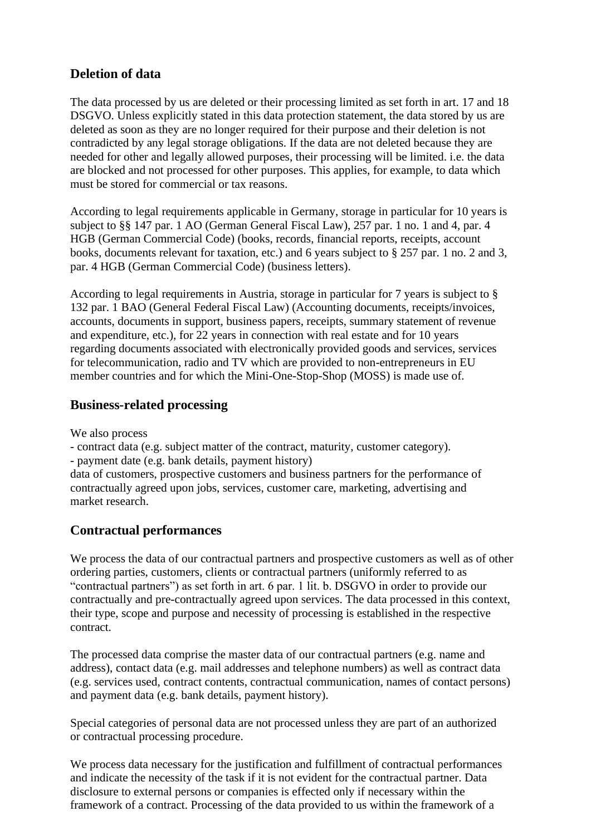# **Deletion of data**

The data processed by us are deleted or their processing limited as set forth in art. 17 and 18 DSGVO. Unless explicitly stated in this data protection statement, the data stored by us are deleted as soon as they are no longer required for their purpose and their deletion is not contradicted by any legal storage obligations. If the data are not deleted because they are needed for other and legally allowed purposes, their processing will be limited. i.e. the data are blocked and not processed for other purposes. This applies, for example, to data which must be stored for commercial or tax reasons.

According to legal requirements applicable in Germany, storage in particular for 10 years is subject to §§ 147 par. 1 AO (German General Fiscal Law), 257 par. 1 no. 1 and 4, par. 4 HGB (German Commercial Code) (books, records, financial reports, receipts, account books, documents relevant for taxation, etc.) and 6 years subject to § 257 par. 1 no. 2 and 3, par. 4 HGB (German Commercial Code) (business letters).

According to legal requirements in Austria, storage in particular for 7 years is subject to § 132 par. 1 BAO (General Federal Fiscal Law) (Accounting documents, receipts/invoices, accounts, documents in support, business papers, receipts, summary statement of revenue and expenditure, etc.), for 22 years in connection with real estate and for 10 years regarding documents associated with electronically provided goods and services, services for telecommunication, radio and TV which are provided to non-entrepreneurs in EU member countries and for which the Mini-One-Stop-Shop (MOSS) is made use of.

# **Business-related processing**

We also process

- contract data (e.g. subject matter of the contract, maturity, customer category).

- payment date (e.g. bank details, payment history)

data of customers, prospective customers and business partners for the performance of contractually agreed upon jobs, services, customer care, marketing, advertising and market research.

# **Contractual performances**

We process the data of our contractual partners and prospective customers as well as of other ordering parties, customers, clients or contractual partners (uniformly referred to as "contractual partners") as set forth in art. 6 par. 1 lit. b. DSGVO in order to provide our contractually and pre-contractually agreed upon services. The data processed in this context, their type, scope and purpose and necessity of processing is established in the respective contract.

The processed data comprise the master data of our contractual partners (e.g. name and address), contact data (e.g. mail addresses and telephone numbers) as well as contract data (e.g. services used, contract contents, contractual communication, names of contact persons) and payment data (e.g. bank details, payment history).

Special categories of personal data are not processed unless they are part of an authorized or contractual processing procedure.

We process data necessary for the justification and fulfillment of contractual performances and indicate the necessity of the task if it is not evident for the contractual partner. Data disclosure to external persons or companies is effected only if necessary within the framework of a contract. Processing of the data provided to us within the framework of a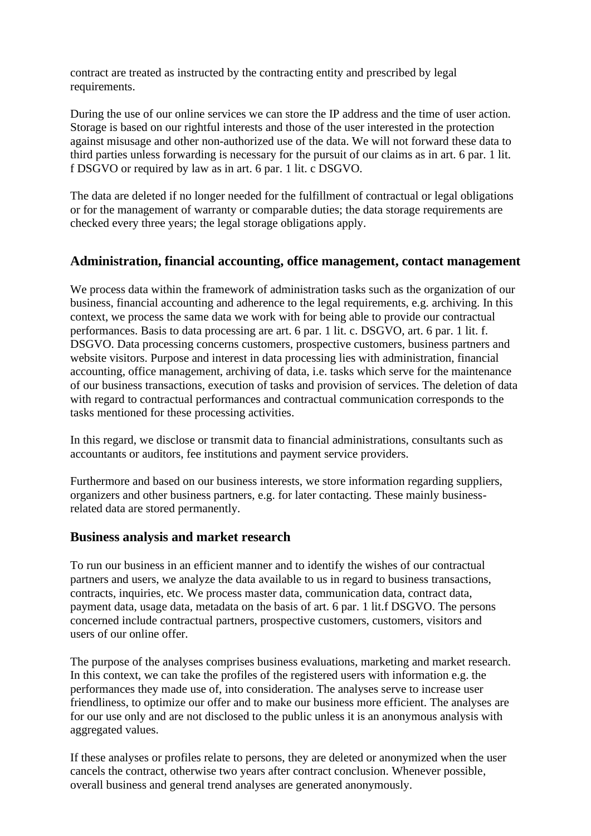contract are treated as instructed by the contracting entity and prescribed by legal requirements.

During the use of our online services we can store the IP address and the time of user action. Storage is based on our rightful interests and those of the user interested in the protection against misusage and other non-authorized use of the data. We will not forward these data to third parties unless forwarding is necessary for the pursuit of our claims as in art. 6 par. 1 lit. f DSGVO or required by law as in art. 6 par. 1 lit. c DSGVO.

The data are deleted if no longer needed for the fulfillment of contractual or legal obligations or for the management of warranty or comparable duties; the data storage requirements are checked every three years; the legal storage obligations apply.

## **Administration, financial accounting, office management, contact management**

We process data within the framework of administration tasks such as the organization of our business, financial accounting and adherence to the legal requirements, e.g. archiving. In this context, we process the same data we work with for being able to provide our contractual performances. Basis to data processing are art. 6 par. 1 lit. c. DSGVO, art. 6 par. 1 lit. f. DSGVO. Data processing concerns customers, prospective customers, business partners and website visitors. Purpose and interest in data processing lies with administration, financial accounting, office management, archiving of data, i.e. tasks which serve for the maintenance of our business transactions, execution of tasks and provision of services. The deletion of data with regard to contractual performances and contractual communication corresponds to the tasks mentioned for these processing activities.

In this regard, we disclose or transmit data to financial administrations, consultants such as accountants or auditors, fee institutions and payment service providers.

Furthermore and based on our business interests, we store information regarding suppliers, organizers and other business partners, e.g. for later contacting. These mainly businessrelated data are stored permanently.

#### **Business analysis and market research**

To run our business in an efficient manner and to identify the wishes of our contractual partners and users, we analyze the data available to us in regard to business transactions, contracts, inquiries, etc. We process master data, communication data, contract data, payment data, usage data, metadata on the basis of art. 6 par. 1 lit.f DSGVO. The persons concerned include contractual partners, prospective customers, customers, visitors and users of our online offer.

The purpose of the analyses comprises business evaluations, marketing and market research. In this context, we can take the profiles of the registered users with information e.g. the performances they made use of, into consideration. The analyses serve to increase user friendliness, to optimize our offer and to make our business more efficient. The analyses are for our use only and are not disclosed to the public unless it is an anonymous analysis with aggregated values.

If these analyses or profiles relate to persons, they are deleted or anonymized when the user cancels the contract, otherwise two years after contract conclusion. Whenever possible, overall business and general trend analyses are generated anonymously.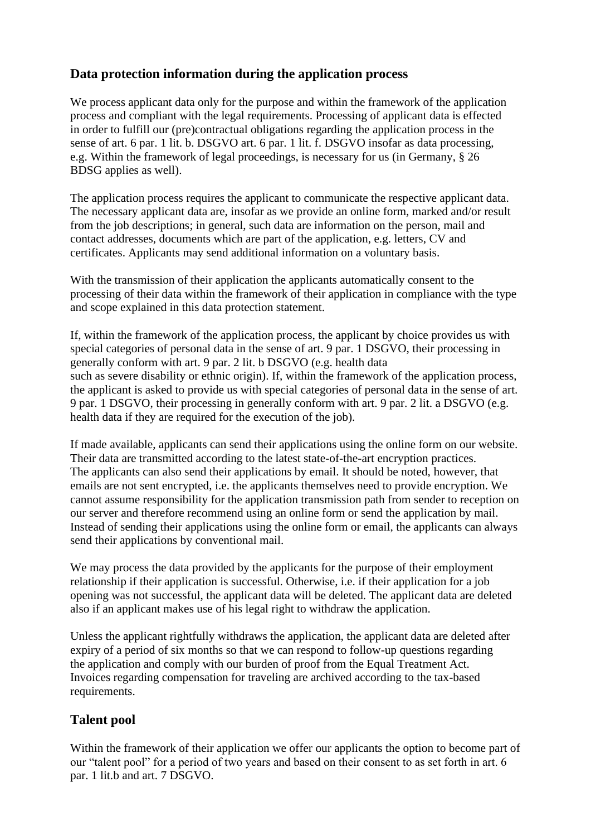# **Data protection information during the application process**

We process applicant data only for the purpose and within the framework of the application process and compliant with the legal requirements. Processing of applicant data is effected in order to fulfill our (pre)contractual obligations regarding the application process in the sense of art. 6 par. 1 lit. b. DSGVO art. 6 par. 1 lit. f. DSGVO insofar as data processing, e.g. Within the framework of legal proceedings, is necessary for us (in Germany, § 26 BDSG applies as well).

The application process requires the applicant to communicate the respective applicant data. The necessary applicant data are, insofar as we provide an online form, marked and/or result from the job descriptions; in general, such data are information on the person, mail and contact addresses, documents which are part of the application, e.g. letters, CV and certificates. Applicants may send additional information on a voluntary basis.

With the transmission of their application the applicants automatically consent to the processing of their data within the framework of their application in compliance with the type and scope explained in this data protection statement.

If, within the framework of the application process, the applicant by choice provides us with special categories of personal data in the sense of art. 9 par. 1 DSGVO, their processing in generally conform with art. 9 par. 2 lit. b DSGVO (e.g. health data such as severe disability or ethnic origin). If, within the framework of the application process, the applicant is asked to provide us with special categories of personal data in the sense of art. 9 par. 1 DSGVO, their processing in generally conform with art. 9 par. 2 lit. a DSGVO (e.g. health data if they are required for the execution of the job).

If made available, applicants can send their applications using the online form on our website. Their data are transmitted according to the latest state-of-the-art encryption practices. The applicants can also send their applications by email. It should be noted, however, that emails are not sent encrypted, i.e. the applicants themselves need to provide encryption. We cannot assume responsibility for the application transmission path from sender to reception on our server and therefore recommend using an online form or send the application by mail. Instead of sending their applications using the online form or email, the applicants can always send their applications by conventional mail.

We may process the data provided by the applicants for the purpose of their employment relationship if their application is successful. Otherwise, i.e. if their application for a job opening was not successful, the applicant data will be deleted. The applicant data are deleted also if an applicant makes use of his legal right to withdraw the application.

Unless the applicant rightfully withdraws the application, the applicant data are deleted after expiry of a period of six months so that we can respond to follow-up questions regarding the application and comply with our burden of proof from the Equal Treatment Act. Invoices regarding compensation for traveling are archived according to the tax-based requirements.

# **Talent pool**

Within the framework of their application we offer our applicants the option to become part of our "talent pool" for a period of two years and based on their consent to as set forth in art. 6 par. 1 lit.b and art. 7 DSGVO.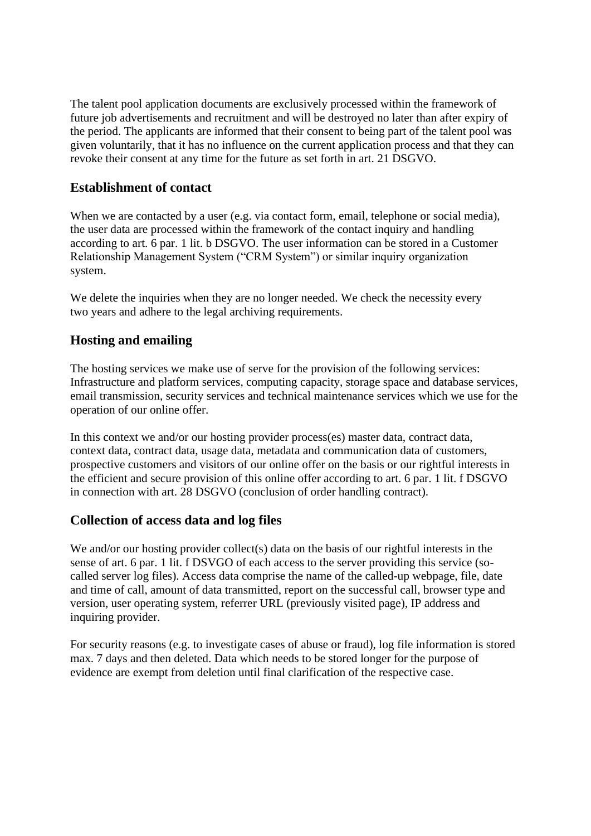The talent pool application documents are exclusively processed within the framework of future job advertisements and recruitment and will be destroyed no later than after expiry of the period. The applicants are informed that their consent to being part of the talent pool was given voluntarily, that it has no influence on the current application process and that they can revoke their consent at any time for the future as set forth in art. 21 DSGVO.

# **Establishment of contact**

When we are contacted by a user (e.g. via contact form, email, telephone or social media), the user data are processed within the framework of the contact inquiry and handling according to art. 6 par. 1 lit. b DSGVO. The user information can be stored in a Customer Relationship Management System ("CRM System") or similar inquiry organization system.

We delete the inquiries when they are no longer needed. We check the necessity every two years and adhere to the legal archiving requirements.

# **Hosting and emailing**

The hosting services we make use of serve for the provision of the following services: Infrastructure and platform services, computing capacity, storage space and database services, email transmission, security services and technical maintenance services which we use for the operation of our online offer.

In this context we and/or our hosting provider process(es) master data, contract data, context data, contract data, usage data, metadata and communication data of customers, prospective customers and visitors of our online offer on the basis or our rightful interests in the efficient and secure provision of this online offer according to art. 6 par. 1 lit. f DSGVO in connection with art. 28 DSGVO (conclusion of order handling contract).

# **Collection of access data and log files**

We and/or our hosting provider collect(s) data on the basis of our rightful interests in the sense of art. 6 par. 1 lit. f DSVGO of each access to the server providing this service (socalled server log files). Access data comprise the name of the called-up webpage, file, date and time of call, amount of data transmitted, report on the successful call, browser type and version, user operating system, referrer URL (previously visited page), IP address and inquiring provider.

For security reasons (e.g. to investigate cases of abuse or fraud), log file information is stored max. 7 days and then deleted. Data which needs to be stored longer for the purpose of evidence are exempt from deletion until final clarification of the respective case.